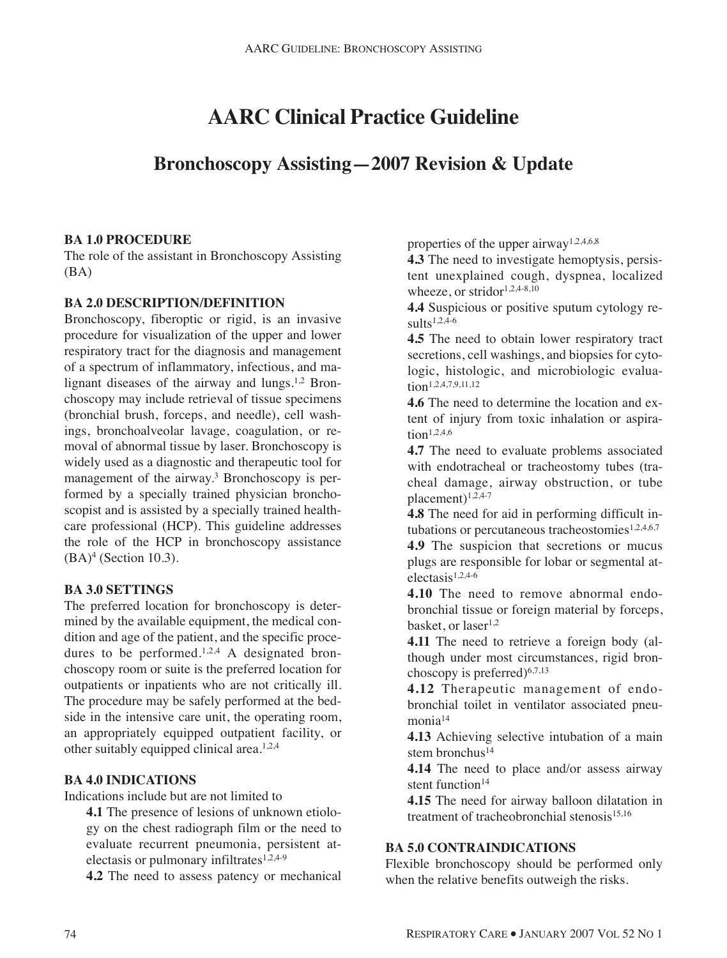# **AARC Clinical Practice Guideline**

## **Bronchoscopy Assisting—2007 Revision & Update**

#### **BA 1.0 PROCEDURE**

The role of the assistant in Bronchoscopy Assisting (BA)

#### **BA 2.0 DESCRIPTION/DEFINITION**

Bronchoscopy, fiberoptic or rigid, is an invasive procedure for visualization of the upper and lower respiratory tract for the diagnosis and management of a spectrum of inflammatory, infectious, and malignant diseases of the airway and lungs.<sup>1,2</sup> Bronchoscopy may include retrieval of tissue specimens (bronchial brush, forceps, and needle), cell washings, bronchoalveolar lavage, coagulation, or removal of abnormal tissue by laser. Bronchoscopy is widely used as a diagnostic and therapeutic tool for management of the airway.<sup>3</sup> Bronchoscopy is performed by a specially trained physician bronchoscopist and is assisted by a specially trained healthcare professional (HCP). This guideline addresses the role of the HCP in bronchoscopy assistance  $(BA)<sup>4</sup>$  (Section 10.3).

#### **BA 3.0 SETTINGS**

The preferred location for bronchoscopy is determined by the available equipment, the medical condition and age of the patient, and the specific procedures to be performed.<sup>1,2,4</sup> A designated bronchoscopy room or suite is the preferred location for outpatients or inpatients who are not critically ill. The procedure may be safely performed at the bedside in the intensive care unit, the operating room, an appropriately equipped outpatient facility, or other suitably equipped clinical area.1,2,4

#### **BA 4.0 INDICATIONS**

Indications include but are not limited to

**4.1** The presence of lesions of unknown etiology on the chest radiograph film or the need to evaluate recurrent pneumonia, persistent atelectasis or pulmonary infiltrates $1,2,4-9$ 

**4.2** The need to assess patency or mechanical

properties of the upper airway<sup>1,2,4,6,8</sup>

**4.3** The need to investigate hemoptysis, persistent unexplained cough, dyspnea, localized wheeze, or stridor<sup>1,2,4-8,10</sup>

**4.4** Suspicious or positive sputum cytology re $sults^{1,2,4-6}$ 

**4.5** The need to obtain lower respiratory tract secretions, cell washings, and biopsies for cytologic, histologic, and microbiologic evaluation<sup>1,2,4,7,9,11,12</sup>

**4.6** The need to determine the location and extent of injury from toxic inhalation or aspiration<sup>1,2,4,6</sup>

**4.7** The need to evaluate problems associated with endotracheal or tracheostomy tubes (tracheal damage, airway obstruction, or tube placement)1,2,4-7

**4.8** The need for aid in performing difficult intubations or percutaneous tracheostomies $1,2,4,6,7$ 

**4.9** The suspicion that secretions or mucus plugs are responsible for lobar or segmental at $electasis<sup>1,2,4-6</sup>$ 

**4.10** The need to remove abnormal endobronchial tissue or foreign material by forceps, basket, or  $laser<sup>1,2</sup>$ 

**4.11** The need to retrieve a foreign body (although under most circumstances, rigid bronchoscopy is preferred) $6,7,13$ 

**4.12** Therapeutic management of endobronchial toilet in ventilator associated pneumonia<sup>14</sup>

**4.13** Achieving selective intubation of a main stem bronchus<sup>14</sup>

**4.14** The need to place and/or assess airway stent function $14$ 

**4.15** The need for airway balloon dilatation in treatment of tracheobronchial stenosis $15,16$ 

#### **BA 5.0 CONTRAINDICATIONS**

Flexible bronchoscopy should be performed only when the relative benefits outweigh the risks.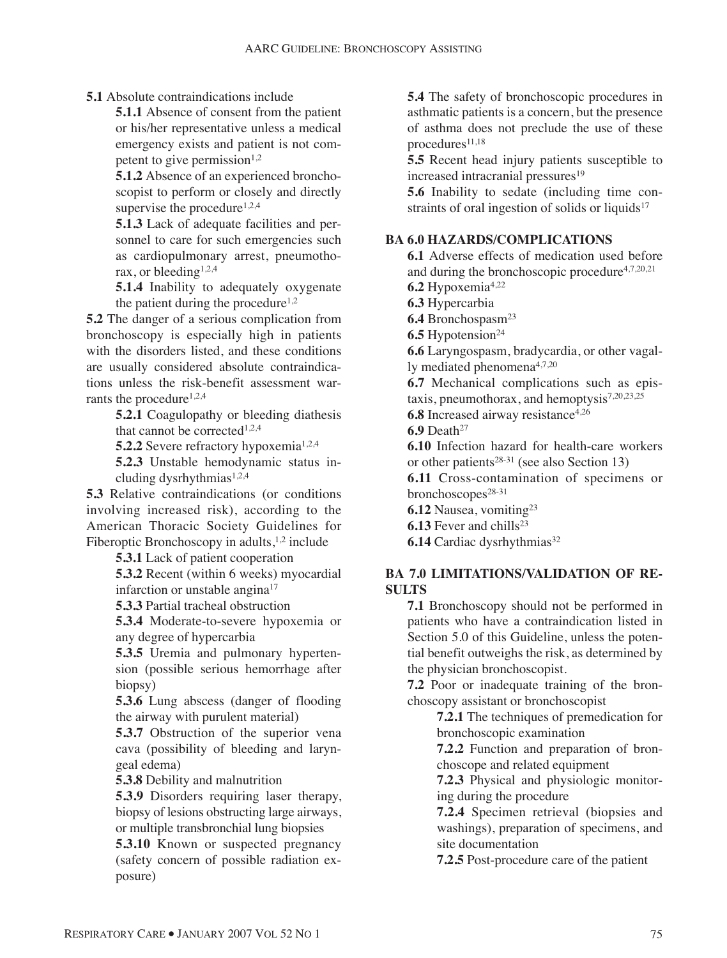**5.1** Absolute contraindications include

**5.1.1** Absence of consent from the patient or his/her representative unless a medical emergency exists and patient is not competent to give permission $1,2$ 

**5.1.2** Absence of an experienced bronchoscopist to perform or closely and directly supervise the procedure<sup>1,2,4</sup>

**5.1.3** Lack of adequate facilities and personnel to care for such emergencies such as cardiopulmonary arrest, pneumothorax, or bleeding1,2,4

**5.1.4** Inability to adequately oxygenate the patient during the procedure<sup>1,2</sup>

**5.2** The danger of a serious complication from bronchoscopy is especially high in patients with the disorders listed, and these conditions are usually considered absolute contraindications unless the risk-benefit assessment warrants the procedure<sup> $1,2,4$ </sup>

> **5.2.1** Coagulopathy or bleeding diathesis that cannot be corrected<sup>1,2,4</sup>

**5.2.2** Severe refractory hypoxemia<sup>1,2,4</sup>

**5.2.3** Unstable hemodynamic status including dysrhythmias $1,2,4$ 

**5.3** Relative contraindications (or conditions involving increased risk), according to the American Thoracic Society Guidelines for Fiberoptic Bronchoscopy in adults,  $1,2$  include

**5.3.1** Lack of patient cooperation

**5.3.2** Recent (within 6 weeks) myocardial infarction or unstable angina<sup>17</sup>

**5.3.3** Partial tracheal obstruction

**5.3.4** Moderate-to-severe hypoxemia or any degree of hypercarbia

**5.3.5** Uremia and pulmonary hypertension (possible serious hemorrhage after biopsy)

**5.3.6** Lung abscess (danger of flooding the airway with purulent material)

**5.3.7** Obstruction of the superior vena cava (possibility of bleeding and laryngeal edema)

**5.3.8** Debility and malnutrition

**5.3.9** Disorders requiring laser therapy, biopsy of lesions obstructing large airways, or multiple transbronchial lung biopsies

**5.3.10** Known or suspected pregnancy (safety concern of possible radiation exposure)

**5.4** The safety of bronchoscopic procedures in asthmatic patients is a concern, but the presence of asthma does not preclude the use of these procedures<sup>11,18</sup>

**5.5** Recent head injury patients susceptible to increased intracranial pressures<sup>19</sup>

**5.6** Inability to sedate (including time constraints of oral ingestion of solids or liquids $17$ 

#### **BA 6.0 HAZARDS/COMPLICATIONS**

**6.1** Adverse effects of medication used before and during the bronchoscopic procedure4,7,20,21 **6.2** Hypoxemia4,22 **6.3** Hypercarbia **6.4** Bronchospasm23 **6.5** Hypotension<sup>24</sup> **6.6** Laryngospasm, bradycardia, or other vagally mediated phenomena4,7,20 **6.7** Mechanical complications such as epistaxis, pneumothorax, and hemoptysis7,20,23,25 **6.8** Increased airway resistance<sup>4,26</sup> **6.9** Death<sup>27</sup> **6.10** Infection hazard for health-care workers or other patients28-31 (see also Section 13) **6.11** Cross-contamination of specimens or bronchoscopes<sup>28-31</sup> **6.12** Nausea, vomiting23

**6.13** Fever and chills<sup>23</sup>

**6.14** Cardiac dysrhythmias<sup>32</sup>

#### **BA 7.0 LIMITATIONS/VALIDATION OF RE-SULTS**

**7.1** Bronchoscopy should not be performed in patients who have a contraindication listed in Section 5.0 of this Guideline, unless the potential benefit outweighs the risk, as determined by the physician bronchoscopist.

**7.2** Poor or inadequate training of the bronchoscopy assistant or bronchoscopist

> **7.2.1** The techniques of premedication for bronchoscopic examination

> **7.2.2** Function and preparation of bronchoscope and related equipment

> **7.2.3** Physical and physiologic monitoring during the procedure

> **7.2.4** Specimen retrieval (biopsies and washings), preparation of specimens, and site documentation

**7.2.5** Post-procedure care of the patient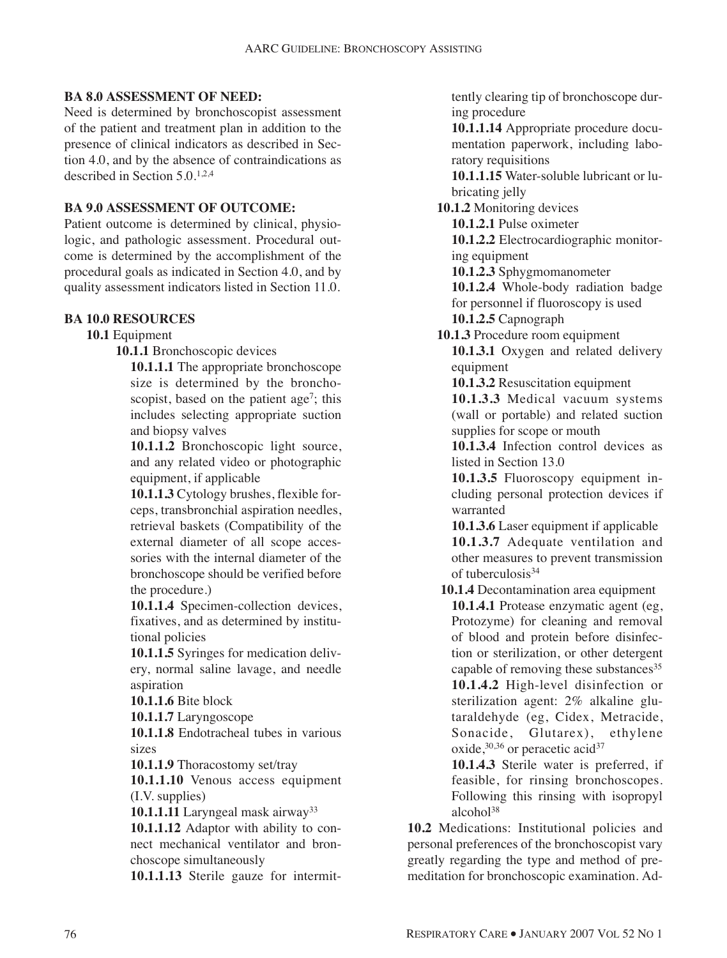#### **BA 8.0 ASSESSMENT OF NEED:**

Need is determined by bronchoscopist assessment of the patient and treatment plan in addition to the presence of clinical indicators as described in Section 4.0, and by the absence of contraindications as described in Section 5.0.1,2,4

#### **BA 9.0 ASSESSMENT OF OUTCOME:**

Patient outcome is determined by clinical, physiologic, and pathologic assessment. Procedural outcome is determined by the accomplishment of the procedural goals as indicated in Section 4.0, and by quality assessment indicators listed in Section 11.0.

#### **BA 10.0 RESOURCES**

#### **10.1** Equipment

**10.1.1** Bronchoscopic devices

**10.1.1.1** The appropriate bronchoscope size is determined by the bronchoscopist, based on the patient age<sup>7</sup>; this includes selecting appropriate suction and biopsy valves

**10.1.1.2** Bronchoscopic light source, and any related video or photographic equipment, if applicable

**10.1.1.3** Cytology brushes, flexible forceps, transbronchial aspiration needles, retrieval baskets (Compatibility of the external diameter of all scope accessories with the internal diameter of the bronchoscope should be verified before the procedure.)

**10.1.1.4** Specimen-collection devices, fixatives, and as determined by institutional policies

**10.1.1.5** Syringes for medication delivery, normal saline lavage, and needle aspiration

**10.1.1.6** Bite block

**10.1.1.7** Laryngoscope

**10.1.1.8** Endotracheal tubes in various sizes

**10.1.1.9** Thoracostomy set/tray

**10.1.1.10** Venous access equipment (I.V. supplies)

**10.1.1.11** Laryngeal mask airway33

**10.1.1.12** Adaptor with ability to connect mechanical ventilator and bronchoscope simultaneously

**10.1.1.13** Sterile gauze for intermit-

tently clearing tip of bronchoscope during procedure

**10.1.1.14** Appropriate procedure documentation paperwork, including laboratory requisitions

**10.1.1.15** Water-soluble lubricant or lubricating jelly

**10.1.2** Monitoring devices

**10.1.2.1** Pulse oximeter

**10.1.2.2** Electrocardiographic monitoring equipment

**10.1.2.3** Sphygmomanometer

**10.1.2.4** Whole-body radiation badge for personnel if fluoroscopy is used **10.1.2.5** Capnograph

**10.1.3** Procedure room equipment

**10.1.3.1** Oxygen and related delivery equipment

**10.1.3.2** Resuscitation equipment

**10.1.3.3** Medical vacuum systems (wall or portable) and related suction supplies for scope or mouth

**10.1.3.4** Infection control devices as listed in Section 13.0

**10.1.3.5** Fluoroscopy equipment including personal protection devices if warranted

**10.1.3.6** Laser equipment if applicable **10.1.3.7** Adequate ventilation and other measures to prevent transmission of tuberculosis<sup>34</sup>

**10.1.4** Decontamination area equipment **10.1.4.1** Protease enzymatic agent (eg, Protozyme) for cleaning and removal of blood and protein before disinfection or sterilization, or other detergent capable of removing these substances<sup>35</sup> **10.1.4.2** High-level disinfection or sterilization agent: 2% alkaline glutaraldehyde (eg, Cidex, Metracide, Sonacide, Glutarex), ethylene oxide,<sup>30,36</sup> or peracetic acid<sup>37</sup>

**10.1.4.3** Sterile water is preferred, if feasible, for rinsing bronchoscopes. Following this rinsing with isopropyl alcohol<sup>38</sup>

**10.2** Medications: Institutional policies and personal preferences of the bronchoscopist vary greatly regarding the type and method of premeditation for bronchoscopic examination. Ad-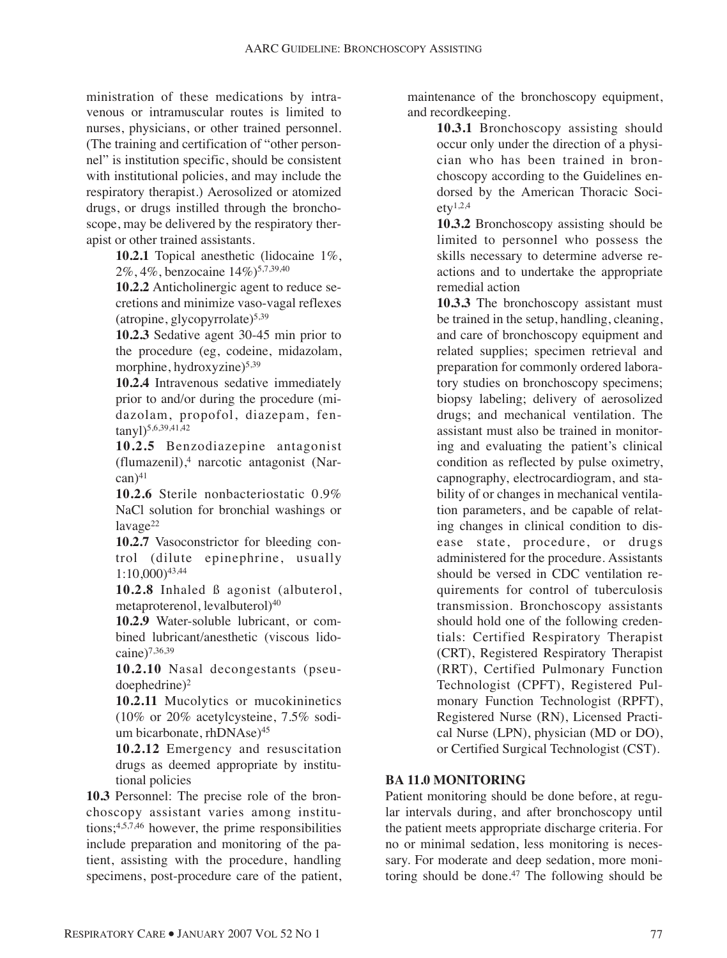ministration of these medications by intravenous or intramuscular routes is limited to nurses, physicians, or other trained personnel. (The training and certification of "other personnel" is institution specific, should be consistent with institutional policies, and may include the respiratory therapist.) Aerosolized or atomized drugs, or drugs instilled through the bronchoscope, may be delivered by the respiratory therapist or other trained assistants.

> **10.2.1** Topical anesthetic (lidocaine 1%, 2%, 4%, benzocaine 14%)5,7,39,40

**10.2.2** Anticholinergic agent to reduce secretions and minimize vaso-vagal reflexes (atropine, glycopyrrolate)5,39

**10.2.3** Sedative agent 30-45 min prior to the procedure (eg, codeine, midazolam, morphine, hydroxyzine)<sup>5,39</sup>

**10.2.4** Intravenous sedative immediately prior to and/or during the procedure (midazolam, propofol, diazepam, fentanyl)<sup>5,6,39,41,42</sup>

**10.2.5** Benzodiazepine antagonist (flumazenil),4 narcotic antagonist (Nar- $\text{can}\,$ <sup>41</sup>

**10.2.6** Sterile nonbacteriostatic 0.9% NaCl solution for bronchial washings or  $l$ avage $22$ 

**10.2.7** Vasoconstrictor for bleeding control (dilute epinephrine, usually 1:10,000)43,44

**10.2.8** Inhaled ß agonist (albuterol, metaproterenol, levalbuterol)40

**10.2.9** Water-soluble lubricant, or combined lubricant/anesthetic (viscous lidocaine)7,36,39

**10.2.10** Nasal decongestants (pseu- $\text{doephedrine}$ <sup>2</sup>

**10.2.11** Mucolytics or mucokininetics (10% or 20% acetylcysteine, 7.5% sodium bicarbonate, rhDNAse)<sup>45</sup>

**10.2.12** Emergency and resuscitation drugs as deemed appropriate by institutional policies

**10.3** Personnel: The precise role of the bronchoscopy assistant varies among institutions; $4,5,7,46$  however, the prime responsibilities include preparation and monitoring of the patient, assisting with the procedure, handling specimens, post-procedure care of the patient, maintenance of the bronchoscopy equipment, and recordkeeping.

> **10.3.1** Bronchoscopy assisting should occur only under the direction of a physician who has been trained in bronchoscopy according to the Guidelines endorsed by the American Thoracic Soci- $\text{etv}^{1,2,4}$

> **10.3.2** Bronchoscopy assisting should be limited to personnel who possess the skills necessary to determine adverse reactions and to undertake the appropriate remedial action

**10.3.3** The bronchoscopy assistant must be trained in the setup, handling, cleaning, and care of bronchoscopy equipment and related supplies; specimen retrieval and preparation for commonly ordered laboratory studies on bronchoscopy specimens; biopsy labeling; delivery of aerosolized drugs; and mechanical ventilation. The assistant must also be trained in monitoring and evaluating the patient's clinical condition as reflected by pulse oximetry, capnography, electrocardiogram, and stability of or changes in mechanical ventilation parameters, and be capable of relating changes in clinical condition to disease state, procedure, or drugs administered for the procedure. Assistants should be versed in CDC ventilation requirements for control of tuberculosis transmission. Bronchoscopy assistants should hold one of the following credentials: Certified Respiratory Therapist (CRT), Registered Respiratory Therapist (RRT), Certified Pulmonary Function Technologist (CPFT), Registered Pulmonary Function Technologist (RPFT), Registered Nurse (RN), Licensed Practical Nurse (LPN), physician (MD or DO), or Certified Surgical Technologist (CST).

#### **BA 11.0 MONITORING**

Patient monitoring should be done before, at regular intervals during, and after bronchoscopy until the patient meets appropriate discharge criteria. For no or minimal sedation, less monitoring is necessary. For moderate and deep sedation, more monitoring should be done. $47$  The following should be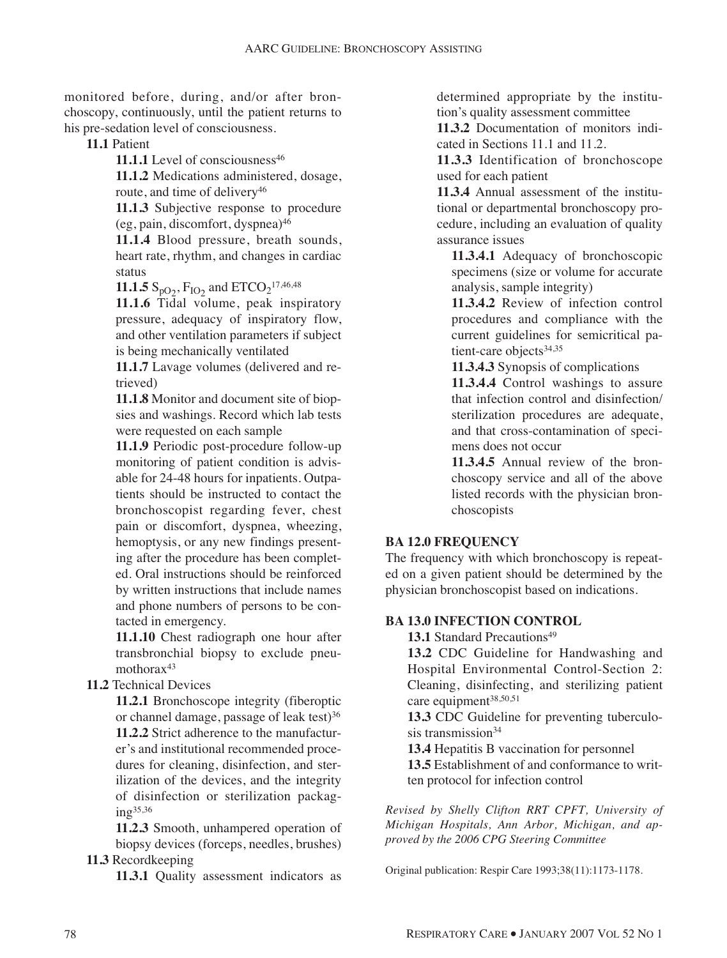monitored before, during, and/or after bronchoscopy, continuously, until the patient returns to his pre-sedation level of consciousness.

**11.1** Patient

11.1.1 Level of consciousness<sup>46</sup>

**11.1.2** Medications administered, dosage, route, and time of delivery<sup>46</sup>

**11.1.3** Subjective response to procedure (eg, pain, discomfort, dyspnea)46

**11.1.4** Blood pressure, breath sounds, heart rate, rhythm, and changes in cardiac status

**11.1.5**  $S_{pO_2}$ ,  $F_{IO_2}$  and  $ETCO_2$ <sup>17,46,48</sup>

**11.1.6** Tidal volume, peak inspiratory pressure, adequacy of inspiratory flow, and other ventilation parameters if subject is being mechanically ventilated

**11.1.7** Lavage volumes (delivered and retrieved)

**11.1.8** Monitor and document site of biopsies and washings. Record which lab tests were requested on each sample

**11.1.9** Periodic post-procedure follow-up monitoring of patient condition is advisable for 24-48 hours for inpatients. Outpatients should be instructed to contact the bronchoscopist regarding fever, chest pain or discomfort, dyspnea, wheezing, hemoptysis, or any new findings presenting after the procedure has been completed. Oral instructions should be reinforced by written instructions that include names and phone numbers of persons to be contacted in emergency.

**11.1.10** Chest radiograph one hour after transbronchial biopsy to exclude pneumothora $x^{43}$ 

**11.2** Technical Devices

**11.2.1** Bronchoscope integrity (fiberoptic or channel damage, passage of leak test)<sup>36</sup> **11.2.2** Strict adherence to the manufacturer's and institutional recommended procedures for cleaning, disinfection, and sterilization of the devices, and the integrity of disinfection or sterilization packag $ing<sup>35,36</sup>$ 

**11.2.3** Smooth, unhampered operation of biopsy devices (forceps, needles, brushes) **11.3** Recordkeeping

**11.3.1** Quality assessment indicators as

determined appropriate by the institution's quality assessment committee

**11.3.2** Documentation of monitors indicated in Sections 11.1 and 11.2.

**11.3.3** Identification of bronchoscope used for each patient

**11.3.4** Annual assessment of the institutional or departmental bronchoscopy procedure, including an evaluation of quality assurance issues

**11.3.4.1** Adequacy of bronchoscopic specimens (size or volume for accurate analysis, sample integrity)

**11.3.4.2** Review of infection control procedures and compliance with the current guidelines for semicritical patient-care objects<sup>34,35</sup>

**11.3.4.3** Synopsis of complications

**11.3.4.4** Control washings to assure that infection control and disinfection/ sterilization procedures are adequate, and that cross-contamination of specimens does not occur

**11.3.4.5** Annual review of the bronchoscopy service and all of the above listed records with the physician bronchoscopists

### **BA 12.0 FREQUENCY**

The frequency with which bronchoscopy is repeated on a given patient should be determined by the physician bronchoscopist based on indications.

#### **BA 13.0 INFECTION CONTROL**

**13.1** Standard Precautions<sup>49</sup>

**13.2** CDC Guideline for Handwashing and Hospital Environmental Control-Section 2: Cleaning, disinfecting, and sterilizing patient care equipment<sup>38,50,51</sup>

**13.3** CDC Guideline for preventing tuberculosis transmission<sup>34</sup>

**13.4** Hepatitis B vaccination for personnel

**13.5** Establishment of and conformance to written protocol for infection control

*Revised by Shelly Clifton RRT CPFT, University of Michigan Hospitals, Ann Arbor, Michigan, and approved by the 2006 CPG Steering Committee*

Original publication: Respir Care 1993;38(11):1173-1178.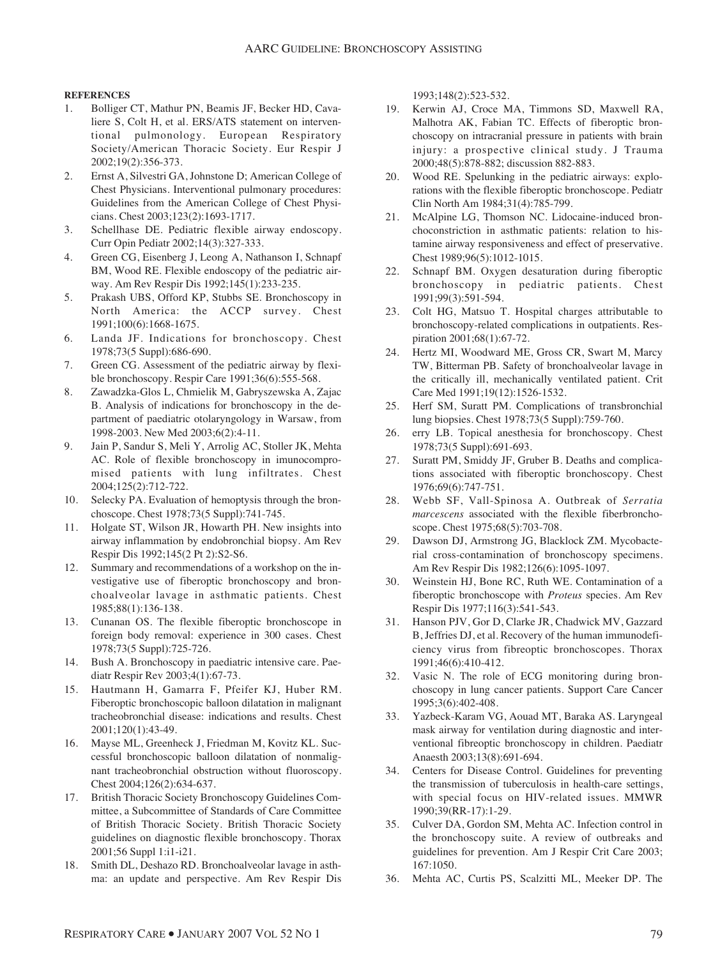#### **REFERENCES**

- 1. Bolliger CT, Mathur PN, Beamis JF, Becker HD, Cavaliere S, Colt H, et al. ERS/ATS statement on interventional pulmonology. European Respiratory Society/American Thoracic Society. Eur Respir J 2002;19(2):356-373.
- 2. Ernst A, Silvestri GA, Johnstone D; American College of Chest Physicians. Interventional pulmonary procedures: Guidelines from the American College of Chest Physicians. Chest 2003;123(2):1693-1717.
- 3. Schellhase DE. Pediatric flexible airway endoscopy. Curr Opin Pediatr 2002;14(3):327-333.
- 4. Green CG, Eisenberg J, Leong A, Nathanson I, Schnapf BM, Wood RE. Flexible endoscopy of the pediatric airway. Am Rev Respir Dis 1992;145(1):233-235.
- 5. Prakash UBS, Offord KP, Stubbs SE. Bronchoscopy in North America: the ACCP survey. Chest 1991;100(6):1668-1675.
- 6. Landa JF. Indications for bronchoscopy. Chest 1978;73(5 Suppl):686-690.
- 7. Green CG. Assessment of the pediatric airway by flexible bronchoscopy. Respir Care 1991;36(6):555-568.
- 8. Zawadzka-Glos L, Chmielik M, Gabryszewska A, Zajac B. Analysis of indications for bronchoscopy in the department of paediatric otolaryngology in Warsaw, from 1998-2003. New Med 2003;6(2):4-11.
- 9. Jain P, Sandur S, Meli Y, Arrolig AC, Stoller JK, Mehta AC. Role of flexible bronchoscopy in imunocompromised patients with lung infiltrates. Chest 2004;125(2):712-722.
- 10. Selecky PA. Evaluation of hemoptysis through the bronchoscope. Chest 1978;73(5 Suppl):741-745.
- 11. Holgate ST, Wilson JR, Howarth PH. New insights into airway inflammation by endobronchial biopsy. Am Rev Respir Dis 1992;145(2 Pt 2):S2-S6.
- 12. Summary and recommendations of a workshop on the investigative use of fiberoptic bronchoscopy and bronchoalveolar lavage in asthmatic patients. Chest 1985;88(1):136-138.
- 13. Cunanan OS. The flexible fiberoptic bronchoscope in foreign body removal: experience in 300 cases. Chest 1978;73(5 Suppl):725-726.
- 14. Bush A. Bronchoscopy in paediatric intensive care. Paediatr Respir Rev 2003;4(1):67-73.
- 15. Hautmann H, Gamarra F, Pfeifer KJ, Huber RM. Fiberoptic bronchoscopic balloon dilatation in malignant tracheobronchial disease: indications and results. Chest 2001;120(1):43-49.
- 16. Mayse ML, Greenheck J, Friedman M, Kovitz KL. Successful bronchoscopic balloon dilatation of nonmalignant tracheobronchial obstruction without fluoroscopy. Chest 2004;126(2):634-637.
- 17. British Thoracic Society Bronchoscopy Guidelines Committee, a Subcommittee of Standards of Care Committee of British Thoracic Society. British Thoracic Society guidelines on diagnostic flexible bronchoscopy. Thorax 2001;56 Suppl 1:i1-i21.
- 18. Smith DL, Deshazo RD. Bronchoalveolar lavage in asthma: an update and perspective. Am Rev Respir Dis

1993;148(2):523-532.

- 19. Kerwin AJ, Croce MA, Timmons SD, Maxwell RA, Malhotra AK, Fabian TC. Effects of fiberoptic bronchoscopy on intracranial pressure in patients with brain injury: a prospective clinical study. J Trauma 2000;48(5):878-882; discussion 882-883.
- 20. Wood RE. Spelunking in the pediatric airways: explorations with the flexible fiberoptic bronchoscope. Pediatr Clin North Am 1984;31(4):785-799.
- 21. McAlpine LG, Thomson NC. Lidocaine-induced bronchoconstriction in asthmatic patients: relation to histamine airway responsiveness and effect of preservative. Chest 1989;96(5):1012-1015.
- 22. Schnapf BM. Oxygen desaturation during fiberoptic bronchoscopy in pediatric patients. Chest 1991;99(3):591-594.
- 23. Colt HG, Matsuo T. Hospital charges attributable to bronchoscopy-related complications in outpatients. Respiration 2001;68(1):67-72.
- 24. Hertz MI, Woodward ME, Gross CR, Swart M, Marcy TW, Bitterman PB. Safety of bronchoalveolar lavage in the critically ill, mechanically ventilated patient. Crit Care Med 1991;19(12):1526-1532.
- 25. Herf SM, Suratt PM. Complications of transbronchial lung biopsies. Chest 1978;73(5 Suppl):759-760.
- 26. erry LB. Topical anesthesia for bronchoscopy. Chest 1978;73(5 Suppl):691-693.
- 27. Suratt PM, Smiddy JF, Gruber B. Deaths and complications associated with fiberoptic bronchoscopy. Chest 1976;69(6):747-751.
- 28. Webb SF, Vall-Spinosa A. Outbreak of *Serratia marcescens* associated with the flexible fiberbronchoscope. Chest 1975;68(5):703-708.
- 29. Dawson DJ, Armstrong JG, Blacklock ZM. Mycobacterial cross-contamination of bronchoscopy specimens. Am Rev Respir Dis 1982;126(6):1095-1097.
- 30. Weinstein HJ, Bone RC, Ruth WE. Contamination of a fiberoptic bronchoscope with *Proteus* species. Am Rev Respir Dis 1977;116(3):541-543.
- 31. Hanson PJV, Gor D, Clarke JR, Chadwick MV, Gazzard B, Jeffries DJ, et al. Recovery of the human immunodeficiency virus from fibreoptic bronchoscopes. Thorax 1991;46(6):410-412.
- 32. Vasic N. The role of ECG monitoring during bronchoscopy in lung cancer patients. Support Care Cancer 1995;3(6):402-408.
- 33. Yazbeck-Karam VG, Aouad MT, Baraka AS. Laryngeal mask airway for ventilation during diagnostic and interventional fibreoptic bronchoscopy in children. Paediatr Anaesth 2003;13(8):691-694.
- 34. Centers for Disease Control. Guidelines for preventing the transmission of tuberculosis in health-care settings, with special focus on HIV-related issues. MMWR 1990;39(RR-17):1-29.
- 35. Culver DA, Gordon SM, Mehta AC. Infection control in the bronchoscopy suite. A review of outbreaks and guidelines for prevention. Am J Respir Crit Care 2003; 167:1050.
- 36. Mehta AC, Curtis PS, Scalzitti ML, Meeker DP. The